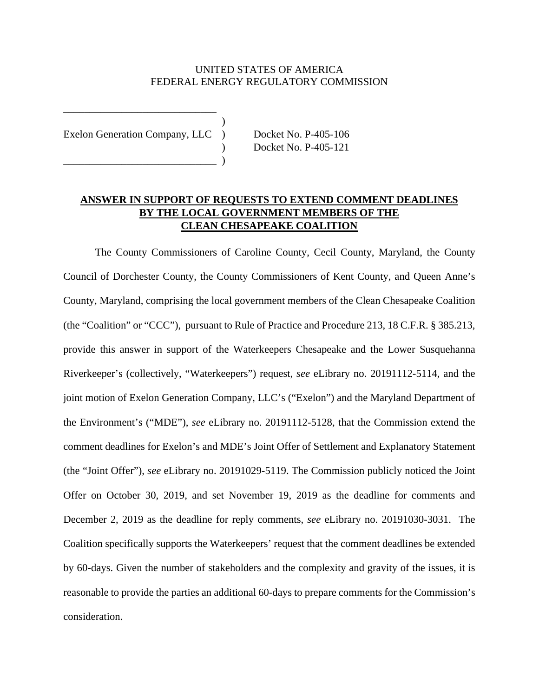## UNITED STATES OF AMERICA FEDERAL ENERGY REGULATORY COMMISSION

)

Exelon Generation Company, LLC ) Docket No. P-405-106

 $\qquad \qquad$ 

\_\_\_\_\_\_\_\_\_\_\_\_\_\_\_\_\_\_\_\_\_\_\_\_\_\_\_\_\_

) Docket No. P-405-121

## **ANSWER IN SUPPORT OF REQUESTS TO EXTEND COMMENT DEADLINES BY THE LOCAL GOVERNMENT MEMBERS OF THE CLEAN CHESAPEAKE COALITION**

The County Commissioners of Caroline County, Cecil County, Maryland, the County Council of Dorchester County, the County Commissioners of Kent County, and Queen Anne's County, Maryland, comprising the local government members of the Clean Chesapeake Coalition (the "Coalition" or "CCC"), pursuant to Rule of Practice and Procedure 213, 18 C.F.R. § 385.213, provide this answer in support of the Waterkeepers Chesapeake and the Lower Susquehanna Riverkeeper's (collectively, "Waterkeepers") request, *see* eLibrary no. 20191112-5114, and the joint motion of Exelon Generation Company, LLC's ("Exelon") and the Maryland Department of the Environment's ("MDE"), *see* eLibrary no. 20191112-5128, that the Commission extend the comment deadlines for Exelon's and MDE's Joint Offer of Settlement and Explanatory Statement (the "Joint Offer"), *see* eLibrary no. 20191029-5119. The Commission publicly noticed the Joint Offer on October 30, 2019, and set November 19, 2019 as the deadline for comments and December 2, 2019 as the deadline for reply comments, *see* eLibrary no. 20191030-3031. The Coalition specifically supports the Waterkeepers' request that the comment deadlines be extended by 60-days. Given the number of stakeholders and the complexity and gravity of the issues, it is reasonable to provide the parties an additional 60-days to prepare comments for the Commission's consideration.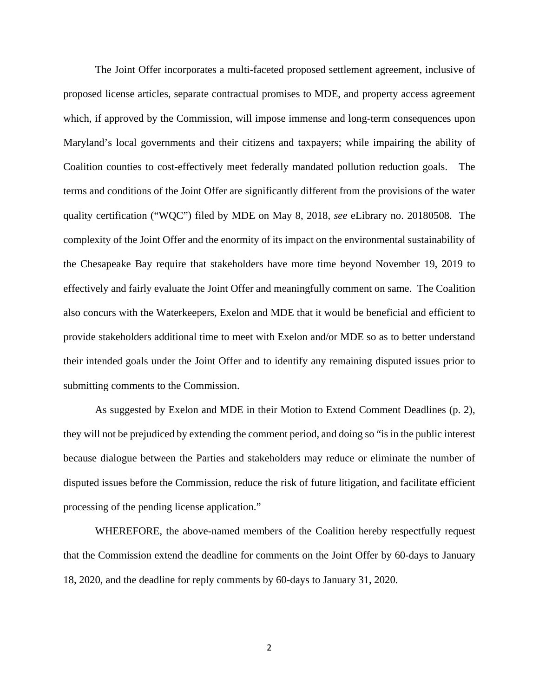The Joint Offer incorporates a multi-faceted proposed settlement agreement, inclusive of proposed license articles, separate contractual promises to MDE, and property access agreement which, if approved by the Commission, will impose immense and long-term consequences upon Maryland's local governments and their citizens and taxpayers; while impairing the ability of Coalition counties to cost-effectively meet federally mandated pollution reduction goals. The terms and conditions of the Joint Offer are significantly different from the provisions of the water quality certification ("WQC") filed by MDE on May 8, 2018, *see* eLibrary no. 20180508. The complexity of the Joint Offer and the enormity of its impact on the environmental sustainability of the Chesapeake Bay require that stakeholders have more time beyond November 19, 2019 to effectively and fairly evaluate the Joint Offer and meaningfully comment on same. The Coalition also concurs with the Waterkeepers, Exelon and MDE that it would be beneficial and efficient to provide stakeholders additional time to meet with Exelon and/or MDE so as to better understand their intended goals under the Joint Offer and to identify any remaining disputed issues prior to submitting comments to the Commission.

As suggested by Exelon and MDE in their Motion to Extend Comment Deadlines (p. 2), they will not be prejudiced by extending the comment period, and doing so "is in the public interest because dialogue between the Parties and stakeholders may reduce or eliminate the number of disputed issues before the Commission, reduce the risk of future litigation, and facilitate efficient processing of the pending license application."

WHEREFORE, the above-named members of the Coalition hereby respectfully request that the Commission extend the deadline for comments on the Joint Offer by 60-days to January 18, 2020, and the deadline for reply comments by 60-days to January 31, 2020.

2